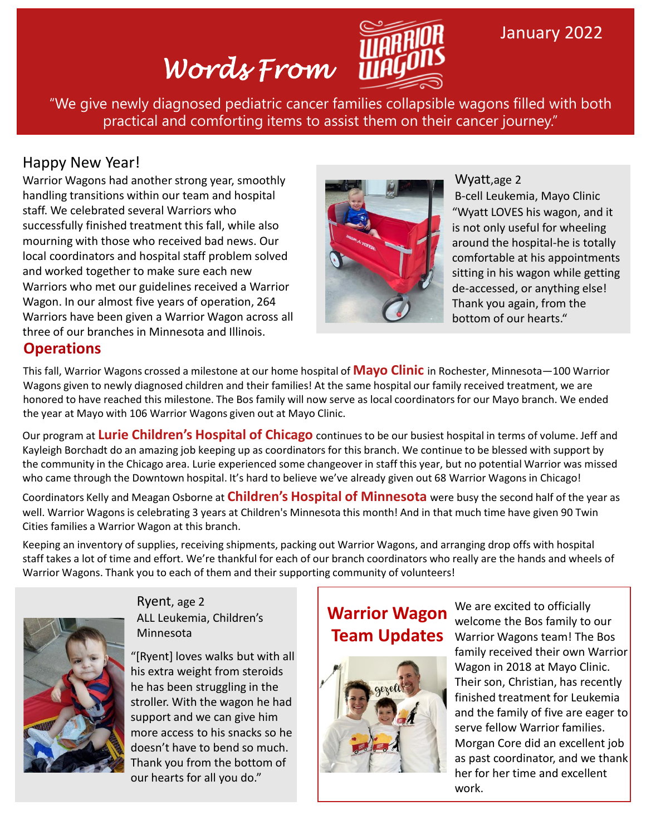# *Words From*



## January 2022

"We give newly diagnosed pediatric cancer families collapsible wagons filled with both practical and comforting items to assist them on their cancer journey."

#### Happy New Year!

Warrior Wagons had another strong year, smoothly handling transitions within our team and hospital staff. We celebrated several Warriors who successfully finished treatment this fall, while also mourning with those who received bad news. Our local coordinators and hospital staff problem solved and worked together to make sure each new Warriors who met our guidelines received a Warrior Wagon. In our almost five years of operation, 264 Warriors have been given a Warrior Wagon across all three of our branches in Minnesota and Illinois.



"Wyatt LOVES his wagon, and it is not only useful for wheeling around the hospital-he is totally comfortable at his appointments sitting in his wagon while getting de-accessed, or anything else! Thank you again, from the bottom of our hearts." Wyatt,age 2 B-cell Leukemia, Mayo Clinic

#### **Operations**

This fall, Warrior Wagons crossed a milestone at our home hospital of **Mayo Clinic** in Rochester, Minnesota—100 Warrior Wagons given to newly diagnosed children and their families! At the same hospital our family received treatment, we are honored to have reached this milestone. The Bos family will now serve as local coordinators for our Mayo branch. We ended the year at Mayo with 106 Warrior Wagons given out at Mayo Clinic.

Our program at **Lurie Children's Hospital of Chicago** continues to be our busiest hospital in terms of volume. Jeff and Kayleigh Borchadt do an amazing job keeping up as coordinators for this branch. We continue to be blessed with support by the community in the Chicago area. Lurie experienced some changeover in staff this year, but no potential Warrior was missed who came through the Downtown hospital. It's hard to believe we've already given out 68 Warrior Wagons in Chicago!

Coordinators Kelly and Meagan Osborne at **Children's Hospital of Minnesota** were busy the second half of the year as well. Warrior Wagons is celebrating 3 years at Children's Minnesota this month! And in that much time have given 90 Twin Cities families a Warrior Wagon at this branch.

Keeping an inventory of supplies, receiving shipments, packing out Warrior Wagons, and arranging drop offs with hospital staff takes a lot of time and effort. We're thankful for each of our branch coordinators who really are the hands and wheels of Warrior Wagons. Thank you to each of them and their supporting community of volunteers!



Ryent, age 2 ALL Leukemia, Children's Minnesota

"[Ryent] loves walks but with all his extra weight from steroids he has been struggling in the stroller. With the wagon he had support and we can give him more access to his snacks so he doesn't have to bend so much. Thank you from the bottom of our hearts for all you do."

## **Warrior Wagon Team Updates**



We are excited to officially welcome the Bos family to our Warrior Wagons team! The Bos family received their own Warrior Wagon in 2018 at Mayo Clinic. Their son, Christian, has recently finished treatment for Leukemia and the family of five are eager to serve fellow Warrior families. Morgan Core did an excellent job as past coordinator, and we thank her for her time and excellent work.